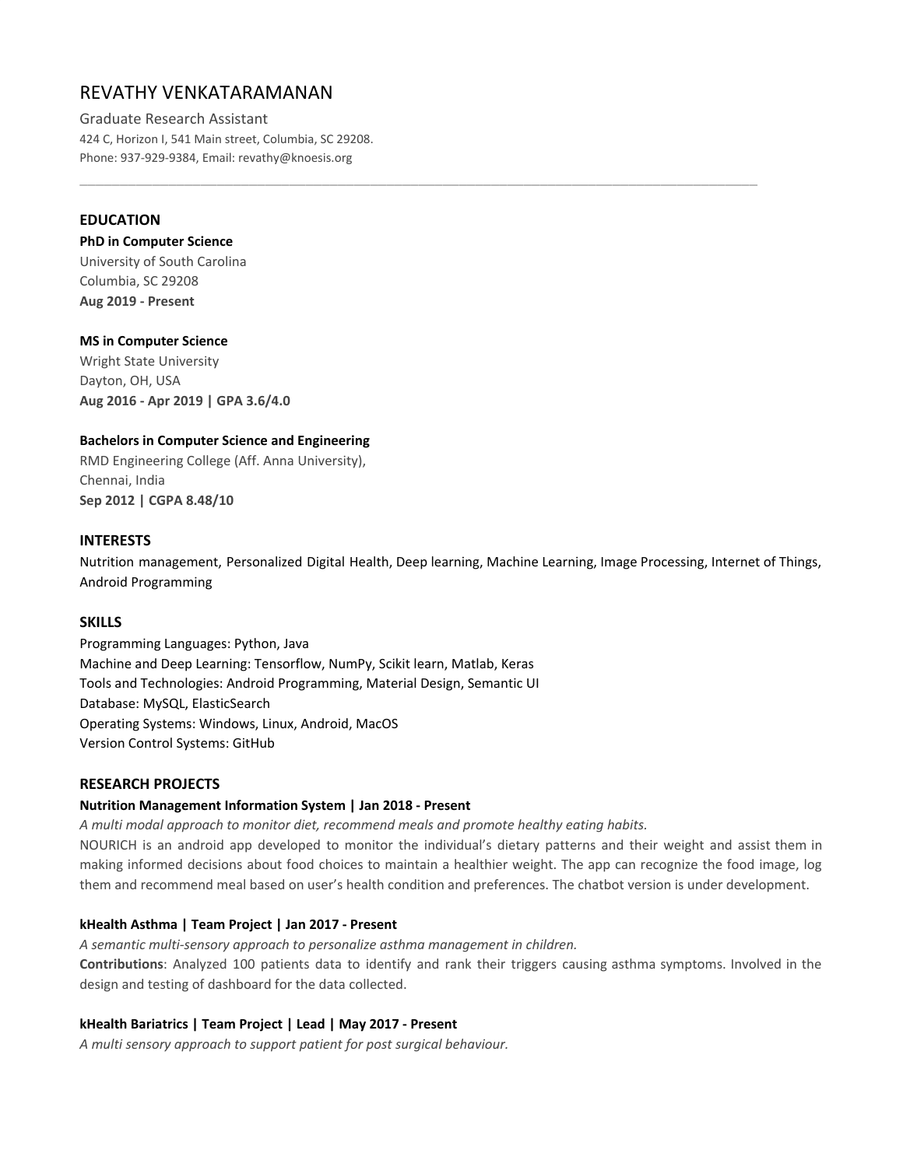# REVATHY VENKATARAMANAN

Graduate Research Assistant 424 C, Horizon I, 541 Main street, Columbia, SC 29208. Phone: 937-929-9384, Email: revathy@knoesis.org

# **EDUCATION**

### **PhD in Computer Science**

University of South Carolina Columbia, SC 29208 **Aug 2019 - Present**

# **MS in Computer Science**

Wright State University Dayton, OH, USA **Aug 2016 - Apr 2019 | GPA 3.6/4.0**

### **Bachelors in Computer Science and Engineering**

RMD Engineering College (Aff. Anna University), Chennai, India **Sep 2012 | CGPA 8.48/10**

### **INTERESTS**

Nutrition management, Personalized Digital Health, Deep learning, Machine Learning, Image Processing, Internet of Things, Android Programming

\_\_\_\_\_\_\_\_\_\_\_\_\_\_\_\_\_\_\_\_\_\_\_\_\_\_\_\_\_\_\_\_\_\_\_\_\_\_\_\_\_\_\_\_\_\_\_\_\_\_\_\_\_\_\_\_\_\_\_\_\_\_\_\_\_\_\_\_\_\_\_\_\_\_\_\_\_\_\_\_\_\_\_\_

# **SKILLS**

Programming Languages: Python, Java Machine and Deep Learning: Tensorflow, NumPy, Scikit learn, Matlab, Keras Tools and Technologies: Android Programming, Material Design, Semantic UI Database: MySQL, ElasticSearch Operating Systems: Windows, Linux, Android, MacOS Version Control Systems: GitHub

# **RESEARCH PROJECTS**

### **Nutrition Management Information System | Jan 2018 - Present**

*A multi modal approach to monitor diet, recommend meals and promote healthy eating habits.*

NOURICH is an android app developed to monitor the individual's dietary patterns and their weight and assist them in making informed decisions about food choices to maintain a healthier weight. The app can recognize the food image, log them and recommend meal based on user's health condition and preferences. The chatbot version is under development.

# **kHealth Asthma | Team Project | Jan 2017 - Present**

*A semantic multi-sensory approach to personalize asthma management in children.* **Contributions**: Analyzed 100 patients data to identify and rank their triggers causing asthma symptoms. Involved in the design and testing of dashboard for the data collected.

### **kHealth Bariatrics | Team Project | Lead | May 2017 - Present**

*A multi sensory approach to support patient for post surgical behaviour.*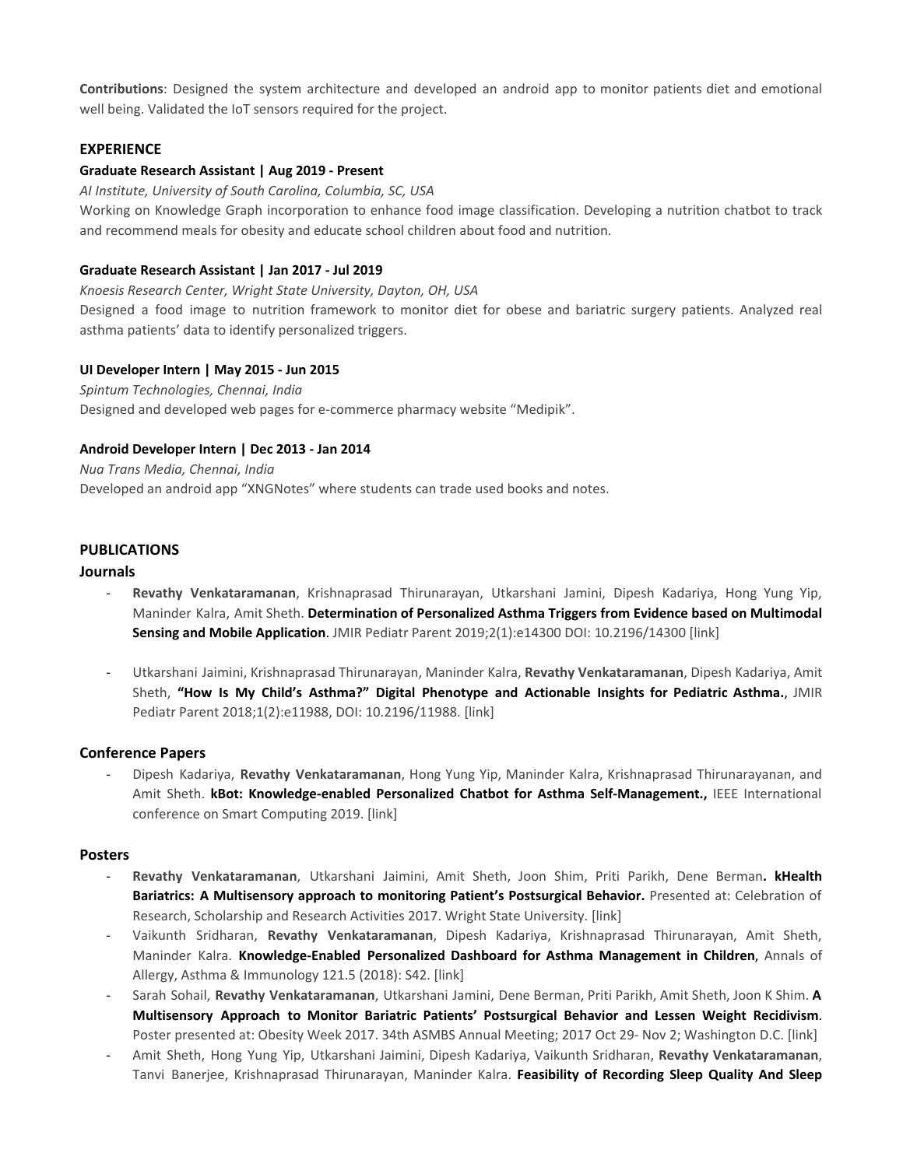**Contributions**: Designed the system architecture and developed an android app to monitor patients diet and emotional well being. Validated the IoT sensors required for the project.

# **EXPERIENCE**

### **Graduate Research Assistant | Aug 2019 - Present**

*AI Institute, University of South Carolina, Columbia, SC, USA*

Working on Knowledge Graph incorporation to enhance food image classification. Developing a nutrition chatbot to track and recommend meals for obesity and educate school children about food and nutrition.

### **Graduate Research Assistant | Jan 2017 - Jul 2019**

*Knoesis Research Center, Wright State University, Dayton, OH, USA*

Designed a food image to nutrition framework to monitor diet for obese and bariatric surgery patients. Analyzed real asthma patients' data to identify personalized triggers.

### **UI Developer Intern | May 2015 - Jun 2015**

*Spintum Technologies, Chennai, India* Designed and developed web pages for e-commerce pharmacy website "Medipik".

### **Android Developer Intern | Dec 2013 - Jan 2014**

*Nua Trans Media, Chennai, India* Developed an android app "XNGNotes" where students can trade used books and notes.

# **PUBLICATIONS**

### **Journals**

- **Revathy Venkataramanan**, Krishnaprasad Thirunarayan, Utkarshani Jamini, Dipesh Kadariya, Hong Yung Yip, Maninder Kalra, Amit Sheth. **Determination of Personalized Asthma Triggers from Evidence based on Multimodal Sensing and Mobile Application**. JMIR Pediatr Parent 2019;2(1):e14300 DOI: 10.2196/14300 [link]
- Utkarshani Jaimini, Krishnaprasad Thirunarayan, Maninder Kalra, **Revathy Venkataramanan**, Dipesh Kadariya, Amit Sheth, **"How Is My Child's Asthma?" Digital Phenotype and Actionable Insights for Pediatric Asthma.**, JMIR Pediatr Parent 2018;1(2):e11988, DOI: 10.2196/11988. [link]

### **Conference Papers**

- Dipesh Kadariya, **Revathy Venkataramanan**, Hong Yung Yip, Maninder Kalra, Krishnaprasad Thirunarayanan, and Amit Sheth. **kBot: Knowledge-enabled Personalized Chatbot for Asthma Self-Management.,** IEEE International conference on Smart Computing 2019. [link]

### **Posters**

- **Revathy Venkataramanan**, Utkarshani Jaimini, Amit Sheth, Joon Shim, Priti Parikh, Dene Berman**. kHealth Bariatrics: A Multisensory approach to monitoring Patient's Postsurgical Behavior.** Presented at: Celebration of Research, Scholarship and Research Activities 2017. Wright State University. [link]
- Vaikunth Sridharan, **Revathy Venkataramanan**, Dipesh Kadariya, Krishnaprasad Thirunarayan, Amit Sheth, Maninder Kalra. **Knowledge-Enabled Personalized Dashboard for Asthma Management in Children**, Annals of Allergy, Asthma & Immunology 121.5 (2018): S42. [link]
- Sarah Sohail, **Revathy Venkataramanan**, Utkarshani Jamini, Dene Berman, Priti Parikh, Amit Sheth, Joon K Shim. **A Multisensory Approach to Monitor Bariatric Patients' Postsurgical Behavior and Lessen Weight Recidivism**. Poster presented at: Obesity Week 2017. 34th ASMBS Annual Meeting; 2017 Oct 29- Nov 2; Washington D.C. [link]
- Amit Sheth, Hong Yung Yip, Utkarshani Jaimini, Dipesh Kadariya, Vaikunth Sridharan, **Revathy Venkataramanan**, Tanvi Banerjee, Krishnaprasad Thirunarayan, Maninder Kalra. **Feasibility of Recording Sleep Quality And Sleep**